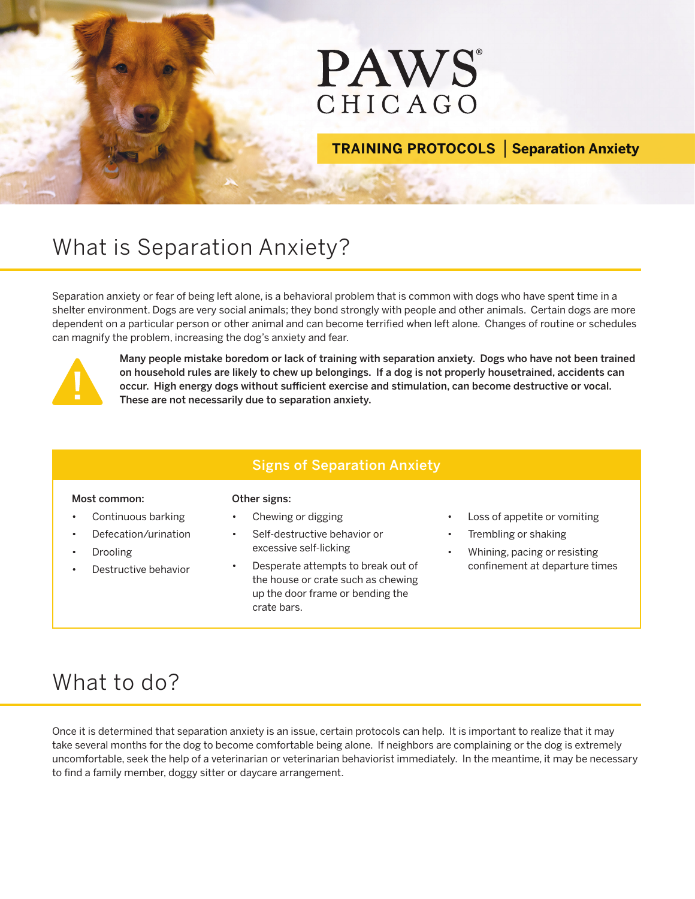# **PAWS** CHICAGO

**TRAINING PROTOCOLS | Separation Anxiety** 

## What is Separation Anxiety?

Separation anxiety or fear of being left alone, is a behavioral problem that is common with dogs who have spent time in a shelter environment. Dogs are very social animals; they bond strongly with people and other animals. Certain dogs are more dependent on a particular person or other animal and can become terrified when left alone. Changes of routine or schedules can magnify the problem, increasing the dog's anxiety and fear.



Many people mistake boredom or lack of training with separation anxiety. Dogs who have not been trained on household rules are likely to chew up belongings. If a dog is not properly housetrained, accidents can occur. High energy dogs without sufficient exercise and stimulation, can become destructive or vocal. These are not necessarily due to separation anxiety.

### Signs of Separation Anxiety

#### Most common: Other signs:

- Continuous barking
- Defecation/urination
- Drooling
- Destructive behavior
- Chewing or digging
- Self-destructive behavior or excessive self-licking
- Desperate attempts to break out of the house or crate such as chewing up the door frame or bending the crate bars.
- Loss of appetite or vomiting
- Trembling or shaking
- Whining, pacing or resisting confinement at departure times

### What to do?

Once it is determined that separation anxiety is an issue, certain protocols can help. It is important to realize that it may take several months for the dog to become comfortable being alone. If neighbors are complaining or the dog is extremely uncomfortable, seek the help of a veterinarian or veterinarian behaviorist immediately. In the meantime, it may be necessary to find a family member, doggy sitter or daycare arrangement.